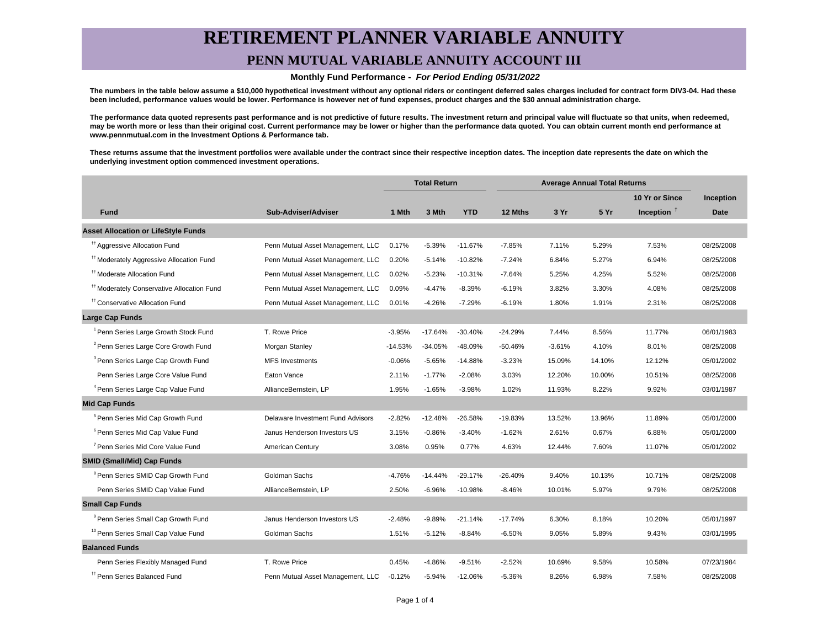## **RETIREMENT PLANNER VARIABLE ANNUITY PENN MUTUAL VARIABLE ANNUITY ACCOUNT III**

#### **Monthly Fund Performance - For Period Ending 05/31/2022**

**The numbers in the table below assume a \$10,000 hypothetical investment without any optional riders or contingent deferred sales charges included for contract form DIV3-04. Had these been included, performance values would be lower. Performance is however net of fund expenses, product charges and the \$30 annual administration charge.**

**The performance data quoted represents past performance and is not predictive of future results. The investment return and principal value will fluctuate so that units, when redeemed, may be worth more or less than their original cost. Current performance may be lower or higher than the performance data quoted. You can obtain current month end performance at www.pennmutual.com in the Investment Options & Performance tab.**

**These returns assume that the investment portfolios were available under the contract since their respective inception dates. The inception date represents the date on which the underlying investment option commenced investment operations.**

|                                                       |                                   | <b>Total Return</b> |           | <b>Average Annual Total Returns</b> |           |          |        |                |            |
|-------------------------------------------------------|-----------------------------------|---------------------|-----------|-------------------------------------|-----------|----------|--------|----------------|------------|
|                                                       |                                   |                     |           |                                     |           |          |        | 10 Yr or Since | Inception  |
| <b>Fund</b>                                           | Sub-Adviser/Adviser               | 1 Mth               | 3 Mth     | <b>YTD</b>                          | 12 Mths   | 3 Yr     | 5 Yr   | Inception $†$  | Date       |
| <b>Asset Allocation or LifeStyle Funds</b>            |                                   |                     |           |                                     |           |          |        |                |            |
| <sup>#†</sup> Aggressive Allocation Fund              | Penn Mutual Asset Management, LLC | 0.17%               | $-5.39%$  | $-11.67%$                           | -7.85%    | 7.11%    | 5.29%  | 7.53%          | 08/25/2008 |
| <sup>#†</sup> Moderately Aggressive Allocation Fund   | Penn Mutual Asset Management, LLC | 0.20%               | $-5.14%$  | $-10.82%$                           | $-7.24%$  | 6.84%    | 5.27%  | 6.94%          | 08/25/2008 |
| <sup>#</sup> Moderate Allocation Fund                 | Penn Mutual Asset Management, LLC | 0.02%               | $-5.23%$  | $-10.31%$                           | $-7.64%$  | 5.25%    | 4.25%  | 5.52%          | 08/25/2008 |
| <sup>11</sup> Moderately Conservative Allocation Fund | Penn Mutual Asset Management, LLC | 0.09%               | $-4.47%$  | $-8.39%$                            | $-6.19%$  | 3.82%    | 3.30%  | 4.08%          | 08/25/2008 |
| <sup>††</sup> Conservative Allocation Fund            | Penn Mutual Asset Management, LLC | 0.01%               | $-4.26%$  | $-7.29%$                            | $-6.19%$  | 1.80%    | 1.91%  | 2.31%          | 08/25/2008 |
| Large Cap Funds                                       |                                   |                     |           |                                     |           |          |        |                |            |
| <sup>1</sup> Penn Series Large Growth Stock Fund      | T. Rowe Price                     | $-3.95%$            | $-17.64%$ | $-30.40%$                           | $-24.29%$ | 7.44%    | 8.56%  | 11.77%         | 06/01/1983 |
| <sup>2</sup> Penn Series Large Core Growth Fund       | Morgan Stanley                    | $-14.53%$           | $-34.05%$ | $-48.09%$                           | $-50.46%$ | $-3.61%$ | 4.10%  | 8.01%          | 08/25/2008 |
| <sup>3</sup> Penn Series Large Cap Growth Fund        | <b>MFS Investments</b>            | $-0.06%$            | $-5.65%$  | $-14.88%$                           | $-3.23%$  | 15.09%   | 14.10% | 12.12%         | 05/01/2002 |
| Penn Series Large Core Value Fund                     | Eaton Vance                       | 2.11%               | $-1.77%$  | $-2.08%$                            | 3.03%     | 12.20%   | 10.00% | 10.51%         | 08/25/2008 |
| <sup>4</sup> Penn Series Large Cap Value Fund         | AllianceBernstein, LP             | 1.95%               | $-1.65%$  | $-3.98%$                            | 1.02%     | 11.93%   | 8.22%  | 9.92%          | 03/01/1987 |
| <b>Mid Cap Funds</b>                                  |                                   |                     |           |                                     |           |          |        |                |            |
| <sup>5</sup> Penn Series Mid Cap Growth Fund          | Delaware Investment Fund Advisors | $-2.82%$            | $-12.48%$ | $-26.58%$                           | $-19.83%$ | 13.52%   | 13.96% | 11.89%         | 05/01/2000 |
| <sup>6</sup> Penn Series Mid Cap Value Fund           | Janus Henderson Investors US      | 3.15%               | $-0.86%$  | $-3.40%$                            | $-1.62%$  | 2.61%    | 0.67%  | 6.88%          | 05/01/2000 |
| <sup>7</sup> Penn Series Mid Core Value Fund          | American Century                  | 3.08%               | 0.95%     | 0.77%                               | 4.63%     | 12.44%   | 7.60%  | 11.07%         | 05/01/2002 |
| <b>SMID (Small/Mid) Cap Funds</b>                     |                                   |                     |           |                                     |           |          |        |                |            |
| <sup>8</sup> Penn Series SMID Cap Growth Fund         | Goldman Sachs                     | $-4.76%$            | $-14.44%$ | $-29.17%$                           | $-26.40%$ | 9.40%    | 10.13% | 10.71%         | 08/25/2008 |
| Penn Series SMID Cap Value Fund                       | AllianceBernstein, LP             | 2.50%               | $-6.96%$  | $-10.98%$                           | $-8.46%$  | 10.01%   | 5.97%  | 9.79%          | 08/25/2008 |
| <b>Small Cap Funds</b>                                |                                   |                     |           |                                     |           |          |        |                |            |
| <sup>9</sup> Penn Series Small Cap Growth Fund        | Janus Henderson Investors US      | $-2.48%$            | $-9.89%$  | $-21.14%$                           | $-17.74%$ | 6.30%    | 8.18%  | 10.20%         | 05/01/1997 |
| <sup>10</sup> Penn Series Small Cap Value Fund        | Goldman Sachs                     | 1.51%               | $-5.12%$  | $-8.84%$                            | $-6.50%$  | 9.05%    | 5.89%  | 9.43%          | 03/01/1995 |
| <b>Balanced Funds</b>                                 |                                   |                     |           |                                     |           |          |        |                |            |
| Penn Series Flexibly Managed Fund                     | T. Rowe Price                     | 0.45%               | $-4.86%$  | $-9.51%$                            | $-2.52%$  | 10.69%   | 9.58%  | 10.58%         | 07/23/1984 |
| <sup>††</sup> Penn Series Balanced Fund               | Penn Mutual Asset Management, LLC | $-0.12%$            | $-5.94%$  | $-12.06%$                           | $-5.36%$  | 8.26%    | 6.98%  | 7.58%          | 08/25/2008 |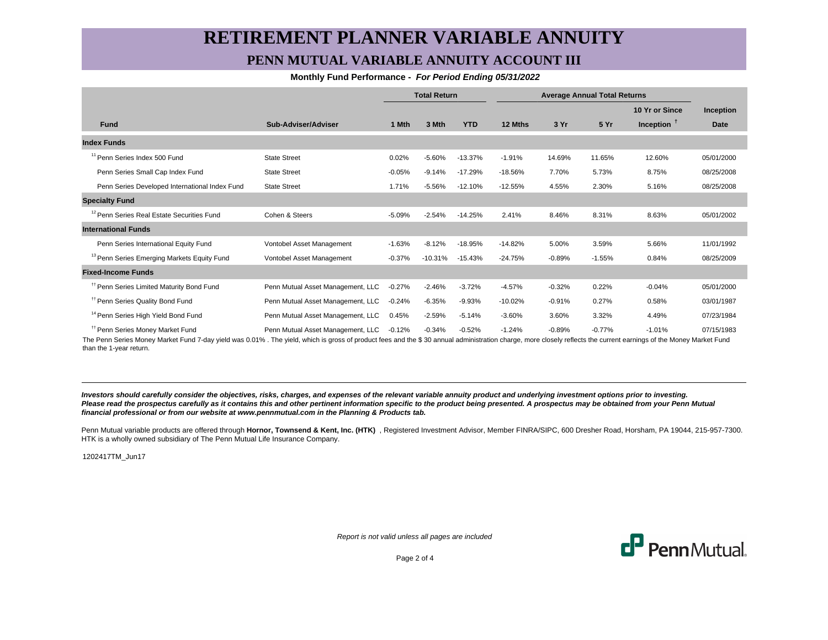## **RETIREMENT PLANNER VARIABLE ANNUITY PENN MUTUAL VARIABLE ANNUITY ACCOUNT III**

#### **Monthly Fund Performance - For Period Ending 05/31/2022**

|                                                        |                                   | <b>Total Return</b> |           | <b>Average Annual Total Returns</b> |           |          |          |                |            |
|--------------------------------------------------------|-----------------------------------|---------------------|-----------|-------------------------------------|-----------|----------|----------|----------------|------------|
|                                                        |                                   |                     |           |                                     |           |          |          | 10 Yr or Since | Inception  |
| <b>Fund</b>                                            | Sub-Adviser/Adviser               | 1 Mth               | 3 Mth     | <b>YTD</b>                          | 12 Mths   | 3 Yr     | 5 Yr     | Inception $T$  | Date       |
| <b>Index Funds</b>                                     |                                   |                     |           |                                     |           |          |          |                |            |
| <sup>11</sup> Penn Series Index 500 Fund               | <b>State Street</b>               | 0.02%               | $-5.60%$  | $-13.37%$                           | $-1.91%$  | 14.69%   | 11.65%   | 12.60%         | 05/01/2000 |
| Penn Series Small Cap Index Fund                       | <b>State Street</b>               | $-0.05%$            | $-9.14%$  | $-17.29%$                           | $-18.56%$ | 7.70%    | 5.73%    | 8.75%          | 08/25/2008 |
| Penn Series Developed International Index Fund         | <b>State Street</b>               | 1.71%               | $-5.56%$  | $-12.10%$                           | $-12.55%$ | 4.55%    | 2.30%    | 5.16%          | 08/25/2008 |
| <b>Specialty Fund</b>                                  |                                   |                     |           |                                     |           |          |          |                |            |
| <sup>12</sup> Penn Series Real Estate Securities Fund  | Cohen & Steers                    | $-5.09%$            | $-2.54%$  | $-14.25%$                           | 2.41%     | 8.46%    | 8.31%    | 8.63%          | 05/01/2002 |
| <b>International Funds</b>                             |                                   |                     |           |                                     |           |          |          |                |            |
| Penn Series International Equity Fund                  | Vontobel Asset Management         | $-1.63%$            | $-8.12%$  | $-18.95%$                           | $-14.82%$ | 5.00%    | 3.59%    | 5.66%          | 11/01/1992 |
| <sup>13</sup> Penn Series Emerging Markets Equity Fund | Vontobel Asset Management         | $-0.37%$            | $-10.31%$ | $-15.43%$                           | $-24.75%$ | $-0.89%$ | $-1.55%$ | 0.84%          | 08/25/2009 |
| <b>Fixed-Income Funds</b>                              |                                   |                     |           |                                     |           |          |          |                |            |
| <sup>11</sup> Penn Series Limited Maturity Bond Fund   | Penn Mutual Asset Management, LLC | $-0.27%$            | $-2.46%$  | $-3.72%$                            | $-4.57%$  | $-0.32%$ | 0.22%    | $-0.04%$       | 05/01/2000 |
| <sup>11</sup> Penn Series Quality Bond Fund            | Penn Mutual Asset Management, LLC | $-0.24%$            | $-6.35%$  | $-9.93%$                            | $-10.02%$ | $-0.91%$ | 0.27%    | 0.58%          | 03/01/1987 |
| <sup>14</sup> Penn Series High Yield Bond Fund         | Penn Mutual Asset Management, LLC | 0.45%               | $-2.59%$  | $-5.14%$                            | $-3.60%$  | 3.60%    | 3.32%    | 4.49%          | 07/23/1984 |
| <sup>11</sup> Penn Series Money Market Fund            | Penn Mutual Asset Management, LLC | $-0.12%$            | $-0.34%$  | $-0.52%$                            | $-1.24%$  | $-0.89%$ | $-0.77%$ | $-1.01%$       | 07/15/1983 |

The Penn Series Money Market Fund 7-day yield was 0.01% . The yield, which is gross of product fees and the \$ 30 annual administration charge, more closely reflects the current earnings of the Money Market Fund than the 1-year return.

**Investors should carefully consider the objectives, risks, charges, and expenses of the relevant variable annuity product and underlying investment options prior to investing.** Please read the prospectus carefully as it contains this and other pertinent information specific to the product being presented. A prospectus may be obtained from your Penn Mutual **financial professional or from our website at www.pennmutual.com in the Planning & Products tab.**

Penn Mutual variable products are offered through Hornor, Townsend & Kent, Inc. (HTK), Registered Investment Advisor, Member FINRA/SIPC, 600 Dresher Road, Horsham, PA 19044, 215-957-7300. HTK is a wholly owned subsidiary of The Penn Mutual Life Insurance Company.

1202417TM\_Jun17

Report is not valid unless all pages are included



Page 2 of 4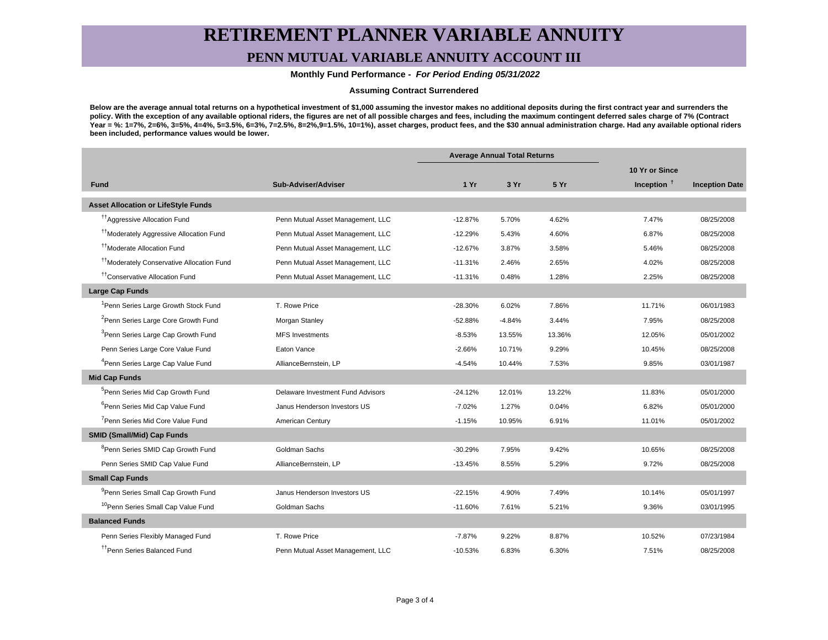# **RETIREMENT PLANNER VARIABLE ANNUITY**

## **PENN MUTUAL VARIABLE ANNUITY ACCOUNT III**

 **Monthly Fund Performance - For Period Ending 05/31/2022**

#### **Assuming Contract Surrendered**

**Below are the average annual total returns on a hypothetical investment of \$1,000 assuming the investor makes no additional deposits during the first contract year and surrenders the policy. With the exception of any available optional riders, the figures are net of all possible charges and fees, including the maximum contingent deferred sales charge of 7% (Contract** Year = %: 1=7%, 2=6%, 3=5%, 4=4%, 5=3.5%, 6=3%, 7=2.5%, 8=2%,9=1.5%, 10=1%), asset charges, product fees, and the \$30 annual administration charge. Had any available optional riders **been included, performance values would be lower.**

|                                                       |                                   | <b>Average Annual Total Returns</b> |          |        |                |                       |
|-------------------------------------------------------|-----------------------------------|-------------------------------------|----------|--------|----------------|-----------------------|
|                                                       |                                   |                                     |          |        | 10 Yr or Since |                       |
| <b>Fund</b>                                           | Sub-Adviser/Adviser               | 1Yr                                 | 3 Yr     | 5 Yr   | Inception $†$  | <b>Inception Date</b> |
| <b>Asset Allocation or LifeStyle Funds</b>            |                                   |                                     |          |        |                |                       |
| <sup>17</sup> Aggressive Allocation Fund              | Penn Mutual Asset Management, LLC | $-12.87%$                           | 5.70%    | 4.62%  | 7.47%          | 08/25/2008            |
| <sup>11</sup> Moderately Aggressive Allocation Fund   | Penn Mutual Asset Management, LLC | $-12.29%$                           | 5.43%    | 4.60%  | 6.87%          | 08/25/2008            |
| <sup>11</sup> Moderate Allocation Fund                | Penn Mutual Asset Management, LLC | $-12.67%$                           | 3.87%    | 3.58%  | 5.46%          | 08/25/2008            |
| <sup>††</sup> Moderately Conservative Allocation Fund | Penn Mutual Asset Management, LLC | $-11.31%$                           | 2.46%    | 2.65%  | 4.02%          | 08/25/2008            |
| <sup>††</sup> Conservative Allocation Fund            | Penn Mutual Asset Management, LLC | $-11.31%$                           | 0.48%    | 1.28%  | 2.25%          | 08/25/2008            |
| <b>Large Cap Funds</b>                                |                                   |                                     |          |        |                |                       |
| <sup>1</sup> Penn Series Large Growth Stock Fund      | T. Rowe Price                     | $-28.30%$                           | 6.02%    | 7.86%  | 11.71%         | 06/01/1983            |
| <sup>2</sup> Penn Series Large Core Growth Fund       | Morgan Stanley                    | $-52.88%$                           | $-4.84%$ | 3.44%  | 7.95%          | 08/25/2008            |
| <sup>3</sup> Penn Series Large Cap Growth Fund        | <b>MFS Investments</b>            | $-8.53%$                            | 13.55%   | 13.36% | 12.05%         | 05/01/2002            |
| Penn Series Large Core Value Fund                     | Eaton Vance                       | $-2.66%$                            | 10.71%   | 9.29%  | 10.45%         | 08/25/2008            |
| <sup>4</sup> Penn Series Large Cap Value Fund         | AllianceBernstein, LP             | $-4.54%$                            | 10.44%   | 7.53%  | 9.85%          | 03/01/1987            |
| <b>Mid Cap Funds</b>                                  |                                   |                                     |          |        |                |                       |
| <sup>5</sup> Penn Series Mid Cap Growth Fund          | Delaware Investment Fund Advisors | $-24.12%$                           | 12.01%   | 13.22% | 11.83%         | 05/01/2000            |
| <sup>6</sup> Penn Series Mid Cap Value Fund           | Janus Henderson Investors US      | $-7.02%$                            | 1.27%    | 0.04%  | 6.82%          | 05/01/2000            |
| <sup>7</sup> Penn Series Mid Core Value Fund          | American Century                  | $-1.15%$                            | 10.95%   | 6.91%  | 11.01%         | 05/01/2002            |
| <b>SMID (Small/Mid) Cap Funds</b>                     |                                   |                                     |          |        |                |                       |
| <sup>8</sup> Penn Series SMID Cap Growth Fund         | Goldman Sachs                     | $-30.29%$                           | 7.95%    | 9.42%  | 10.65%         | 08/25/2008            |
| Penn Series SMID Cap Value Fund                       | AllianceBernstein, LP             | $-13.45%$                           | 8.55%    | 5.29%  | 9.72%          | 08/25/2008            |
| <b>Small Cap Funds</b>                                |                                   |                                     |          |        |                |                       |
| <sup>9</sup> Penn Series Small Cap Growth Fund        | Janus Henderson Investors US      | $-22.15%$                           | 4.90%    | 7.49%  | 10.14%         | 05/01/1997            |
| <sup>10</sup> Penn Series Small Cap Value Fund        | Goldman Sachs                     | $-11.60%$                           | 7.61%    | 5.21%  | 9.36%          | 03/01/1995            |
| <b>Balanced Funds</b>                                 |                                   |                                     |          |        |                |                       |
| Penn Series Flexibly Managed Fund                     | T. Rowe Price                     | $-7.87%$                            | 9.22%    | 8.87%  | 10.52%         | 07/23/1984            |
| <sup>††</sup> Penn Series Balanced Fund               | Penn Mutual Asset Management, LLC | $-10.53%$                           | 6.83%    | 6.30%  | 7.51%          | 08/25/2008            |